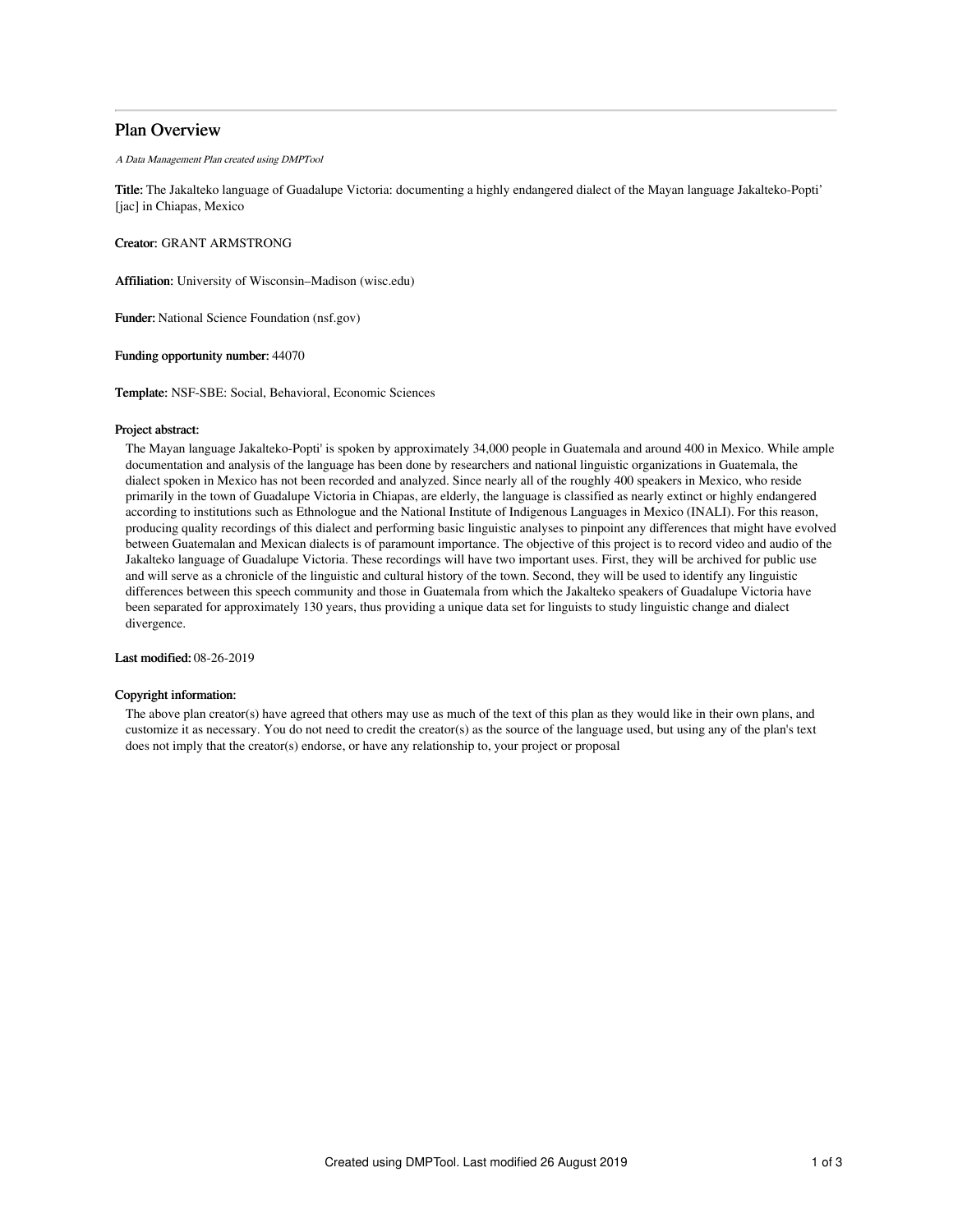# Plan Overview

A Data Management Plan created using DMPTool

Title: The Jakalteko language of Guadalupe Victoria: documenting a highly endangered dialect of the Mayan language Jakalteko-Popti' [jac] in Chiapas, Mexico

Creator: GRANT ARMSTRONG

Affiliation: University of Wisconsin–Madison (wisc.edu)

Funder: National Science Foundation (nsf.gov)

Funding opportunity number: 44070

Template: NSF-SBE: Social, Behavioral, Economic Sciences

### Project abstract:

The Mayan language Jakalteko-Popti' is spoken by approximately 34,000 people in Guatemala and around 400 in Mexico. While ample documentation and analysis of the language has been done by researchers and national linguistic organizations in Guatemala, the dialect spoken in Mexico has not been recorded and analyzed. Since nearly all of the roughly 400 speakers in Mexico, who reside primarily in the town of Guadalupe Victoria in Chiapas, are elderly, the language is classified as nearly extinct or highly endangered according to institutions such as Ethnologue and the National Institute of Indigenous Languages in Mexico (INALI). For this reason, producing quality recordings of this dialect and performing basic linguistic analyses to pinpoint any differences that might have evolved between Guatemalan and Mexican dialects is of paramount importance. The objective of this project is to record video and audio of the Jakalteko language of Guadalupe Victoria. These recordings will have two important uses. First, they will be archived for public use and will serve as a chronicle of the linguistic and cultural history of the town. Second, they will be used to identify any linguistic differences between this speech community and those in Guatemala from which the Jakalteko speakers of Guadalupe Victoria have been separated for approximately 130 years, thus providing a unique data set for linguists to study linguistic change and dialect divergence.

Last modified: 08-26-2019

### Copyright information:

The above plan creator(s) have agreed that others may use as much of the text of this plan as they would like in their own plans, and customize it as necessary. You do not need to credit the creator(s) as the source of the language used, but using any of the plan's text does not imply that the creator(s) endorse, or have any relationship to, your project or proposal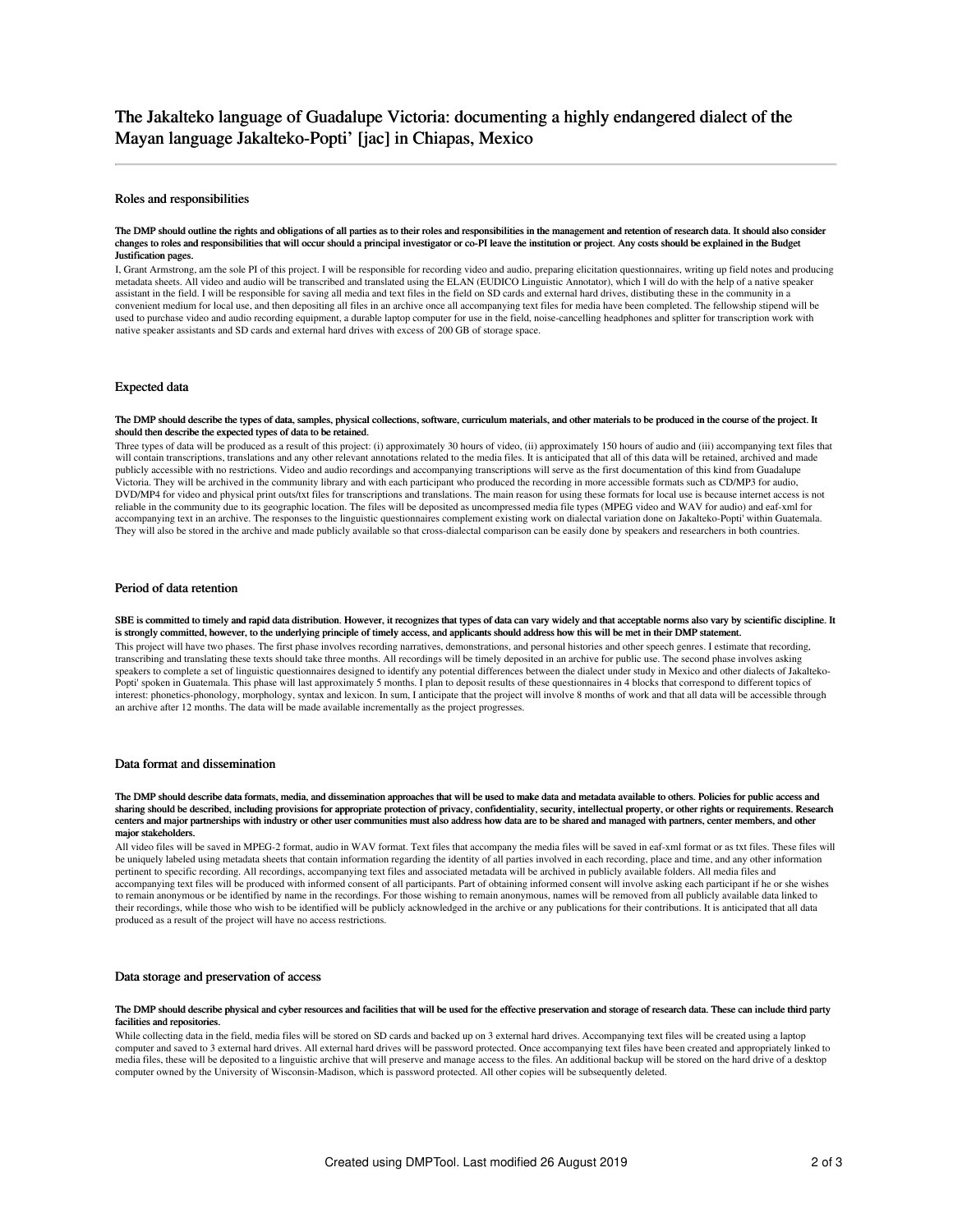### Roles and responsibilities

#### The DMP should outline the rights and obligations of all parties as to their roles and responsibilities in the management and retention of research data. It should also consider changes to roles and responsibilities that will occur should a principal investigator or co-PI leave the institution or project. Any costs should be explained in the Budget Justification pages.

I, Grant Armstrong, am the sole PI of this project. I will be responsible for recording video and audio, preparing elicitation questionnaires, writing up field notes and producing metadata sheets. All video and audio will be transcribed and translated using the ELAN (EUDICO Linguistic Annotator), which I will do with the help of a native speaker assistant in the field. I will be responsible for saving all media and text files in the field on SD cards and external hard drives, distibuting these in the community in a convenient medium for local use, and then depositing all files in an archive once all accompanying text files for media have been completed. The fellowship stipend will be used to purchase video and audio recording equipment, a durable laptop computer for use in the field, noise-cancelling headphones and splitter for transcription work with native speaker assistants and SD cards and external hard drives with excess of 200 GB of storage space.

### Expected data

#### The DMP should describe the types of data, samples, physical collections, software, curriculum materials, and other materials to be produced in the course of the project. It should then describe the expected types of data to be retained.

Three types of data will be produced as a result of this project: (i) approximately 30 hours of video, (ii) approximately 150 hours of audio and (iii) accompanying text files that will contain transcriptions, translations and any other relevant annotations related to the media files. It is anticipated that all of this data will be retained, archived and made publicly accessible with no restrictions. Video and audio recordings and accompanying transcriptions will serve as the first documentation of this kind from Guadalupe Victoria. They will be archived in the community library and with each participant who produced the recording in more accessible formats such as CD/MP3 for audio, DVD/MP4 for video and physical print outs/txt files for transcriptions and translations. The main reason for using these formats for local use is because internet access is not reliable in the community due to its geographic location. The files will be deposited as uncompressed media file types (MPEG video and WAV for audio) and eaf-xml for accompanying text in an archive. The responses to the linguistic questionnaires complement existing work on dialectal variation done on Jakalteko-Popti' within Guatemala. They will also be stored in the archive and made publicly available so that cross-dialectal comparison can be easily done by speakers and researchers in both countries.

## Period of data retention

SBE is committed to timely and rapid data distribution. However, it recognizes that types of data can vary widely and that acceptable norms also vary by scientific discipline. It is strongly committed, however, to the underlying principle of timely access, and applicants should address how this will be met in their DMP statement. This project will have two phases. The first phase involves recording narratives, demonstrations, and personal histories and other speech genres. I estimate that recording, transcribing and translating these texts should take three months. All recordings will be timely deposited in an archive for public use. The second phase involves asking speakers to complete a set of linguistic questionnaires designed to identify any potential differences between the dialect under study in Mexico and other dialects of Jakalteko-Popti' spoken in Guatemala. This phase will last approximately 5 months. I plan to deposit results of these questionnaires in 4 blocks that correspond to different topics of interest: phonetics-phonology, morphology, syntax and lexicon. In sum, I anticipate that the project will involve 8 months of work and that all data will be accessible through an archive after 12 months. The data will be made available incrementally as the project progresses.

## Data format and dissemination

#### The DMP should describe data formats, media, and dissemination approaches that will be used to make data and metadata available to others. Policies for public access and sharing should be described, including provisions for appropriate protection of privacy, confidentiality, security, intellectual property, or other rights or requirements. Research centers and major partnerships with industry or other user communities must also address how data are to be shared and managed with partners, center members, and other major stakeholders.

All video files will be saved in MPEG-2 format, audio in WAV format. Text files that accompany the media files will be saved in eaf-xml format or as txt files. These files will be uniquely labeled using metadata sheets that contain information regarding the identity of all parties involved in each recording, place and time, and any other information pertinent to specific recording. All recordings, accompanying text files and associated metadata will be archived in publicly available folders. All media files and accompanying text files will be produced with informed consent of all participants. Part of obtaining informed consent will involve asking each participant if he or she wishes to remain anonymous or be identified by name in the recordings. For those wishing to remain anonymous, names will be removed from all publicly available data linked to their recordings, while those who wish to be identified will be publicly acknowledged in the archive or any publications for their contributions. It is anticipated that all data produced as a result of the project will have no access restrictions.

## Data storage and preservation of access

#### The DMP should describe physical and cyber resources and facilities that will be used for the effective preservation and storage of research data. These can include third party facilities and repositories

While collecting data in the field, media files will be stored on SD cards and backed up on 3 external hard drives. Accompanying text files will be created using a laptop computer and saved to 3 external hard drives. All external hard drives will be password protected. Once accompanying text files have been created and appropriately linked to media files, these will be deposited to a linguistic archive that will preserve and manage access to the files. An additional backup will be stored on the hard drive of a desktop computer owned by the University of Wisconsin-Madison, which is password protected. All other copies will be subsequently deleted.